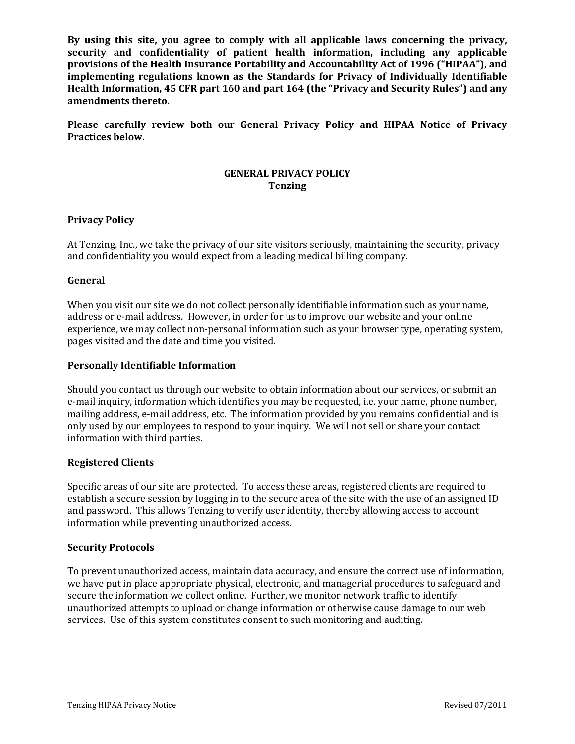**By using this site, you agree to comply with all applicable laws concerning the privacy, security and confidentiality of patient health information, including any applicable provisions of the Health Insurance Portability and Accountability Act of 1996 ("HIPAA"), and implementing regulations known as the Standards for Privacy of Individually Identifiable Health Information, 45 CFR part 160 and part 164 (the "Privacy and Security Rules") and any amendments thereto.**

**Please carefully review both our General Privacy Policy and HIPAA Notice of Privacy Practices below.**

# **GENERAL PRIVACY POLICY Tenzing**

# **Privacy Policy**

At Tenzing, Inc., we take the privacy of our site visitors seriously, maintaining the security, privacy and confidentiality you would expect from a leading medical billing company.

#### **General**

When you visit our site we do not collect personally identifiable information such as your name, address or e-mail address. However, in order for us to improve our website and your online experience, we may collect non-personal information such as your browser type, operating system, pages visited and the date and time you visited.

# **Personally Identifiable Information**

Should you contact us through our website to obtain information about our services, or submit an e-mail inquiry, information which identifies you may be requested, i.e. your name, phone number, mailing address, e-mail address, etc. The information provided by you remains confidential and is only used by our employees to respond to your inquiry. We will not sell or share your contact information with third parties.

### **Registered Clients**

Specific areas of our site are protected. To access these areas, registered clients are required to establish a secure session by logging in to the secure area of the site with the use of an assigned ID and password. This allows Tenzing to verify user identity, thereby allowing access to account information while preventing unauthorized access.

#### **Security Protocols**

To prevent unauthorized access, maintain data accuracy, and ensure the correct use of information, we have put in place appropriate physical, electronic, and managerial procedures to safeguard and secure the information we collect online. Further, we monitor network traffic to identify unauthorized attempts to upload or change information or otherwise cause damage to our web services. Use of this system constitutes consent to such monitoring and auditing.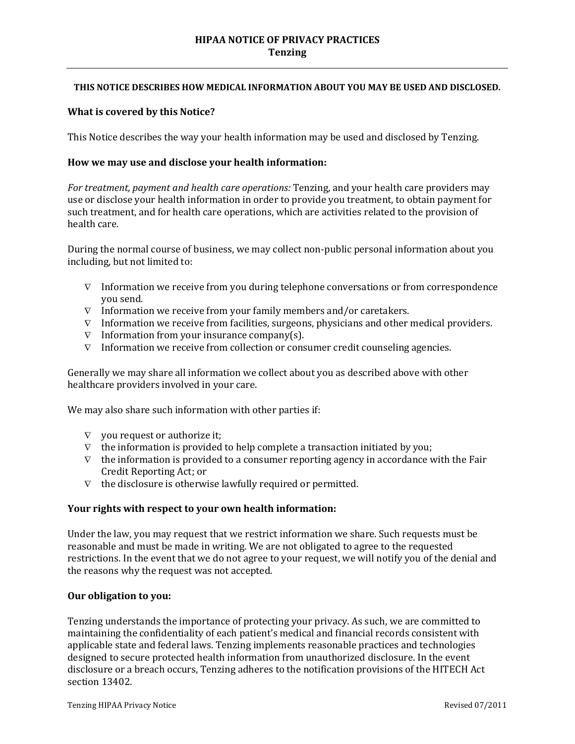## **HIPAA NOTICE OF PRIVACY PRACTICES Tenzing**

#### **THIS NOTICE DESCRIBES HOW MEDICAL INFORMATION ABOUT YOU MAY BE USED AND DISCLOSED.**

#### **What is covered by this Notice?**

This Notice describes the way your health information may be used and disclosed by Tenzing.

### **How we may use and disclose your health information:**

*For treatment, payment and health care operations:* Tenzing, and your health care providers may use or disclose your health information in order to provide you treatment, to obtain payment for such treatment, and for health care operations, which are activities related to the provision of health care.

During the normal course of business, we may collect non-public personal information about you including, but not limited to:

- ∇ Information we receive from you during telephone conversations or from correspondence you send.
- ∇ Information we receive from your family members and/or caretakers.
- $\nabla$  Information we receive from facilities, surgeons, physicians and other medical providers.
- ∇ Information from your insurance company(s).
- ∇ Information we receive from collection or consumer credit counseling agencies.

Generally we may share all information we collect about you as described above with other healthcare providers involved in your care.

We may also share such information with other parties if:

- $\nabla$  you request or authorize it;
- $\nabla$  the information is provided to help complete a transaction initiated by you;
- $\nabla$  the information is provided to a consumer reporting agency in accordance with the Fair Credit Reporting Act; or
- ∇ the disclosure is otherwise lawfully required or permitted.

#### **Your rights with respect to your own health information:**

Under the law, you may request that we restrict information we share. Such requests must be reasonable and must be made in writing. We are not obligated to agree to the requested restrictions. In the event that we do not agree to your request, we will notify you of the denial and the reasons why the request was not accepted.

#### **Our obligation to you:**

Tenzing understands the importance of protecting your privacy. As such, we are committed to maintaining the confidentiality of each patient's medical and financial records consistent with applicable state and federal laws. Tenzing implements reasonable practices and technologies designed to secure protected health information from unauthorized disclosure. In the event disclosure or a breach occurs, Tenzing adheres to the notification provisions of the HITECH Act section 13402.